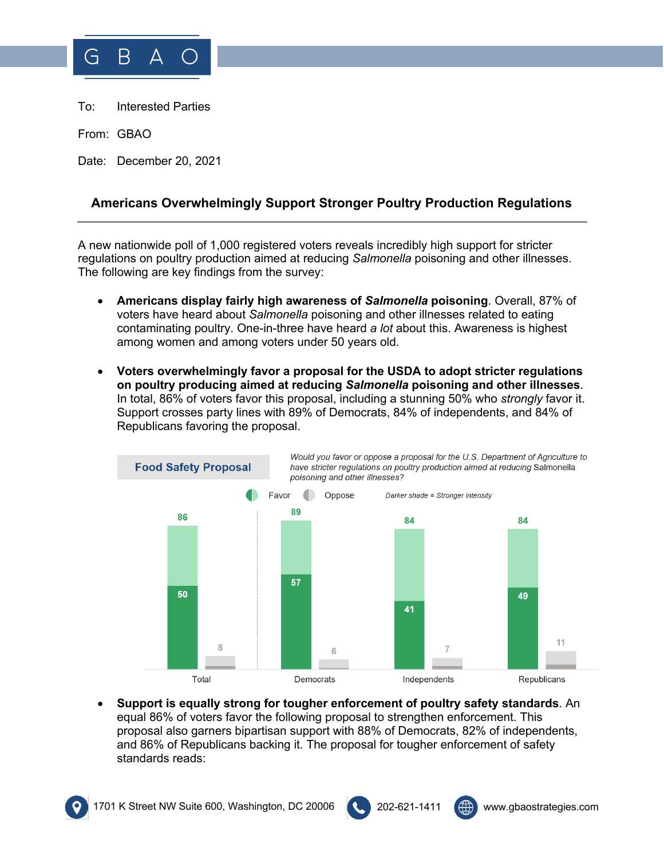

To: Interested Parties

From: GBAO

Date: December 20, 2021

## **Americans Overwhelmingly Support Stronger Poultry Production Regulations**

A new nationwide poll of 1,000 registered voters reveals incredibly high support for stricter regulations on poultry production aimed at reducing *Salmonella* poisoning and other illnesses. The following are key findings from the survey:

- **Americans display fairly high awareness of** *Salmonella* **poisoning**. Overall, 87% of voters have heard about *Salmonella* poisoning and other illnesses related to eating contaminating poultry. One-in-three have heard *a lot* about this. Awareness is highest among women and among voters under 50 years old.
- **Voters overwhelmingly favor a proposal for the USDA to adopt stricter regulations on poultry producing aimed at reducing** *Salmonella* **poisoning and other illnesses**. In total, 86% of voters favor this proposal, including a stunning 50% who *strongly* favor it. Support crosses party lines with 89% of Democrats, 84% of independents, and 84% of Republicans favoring the proposal.



• **Support is equally strong for tougher enforcement of poultry safety standards**. An equal 86% of voters favor the following proposal to strengthen enforcement. This proposal also garners bipartisan support with 88% of Democrats, 82% of independents, and 86% of Republicans backing it. The proposal for tougher enforcement of safety standards reads: